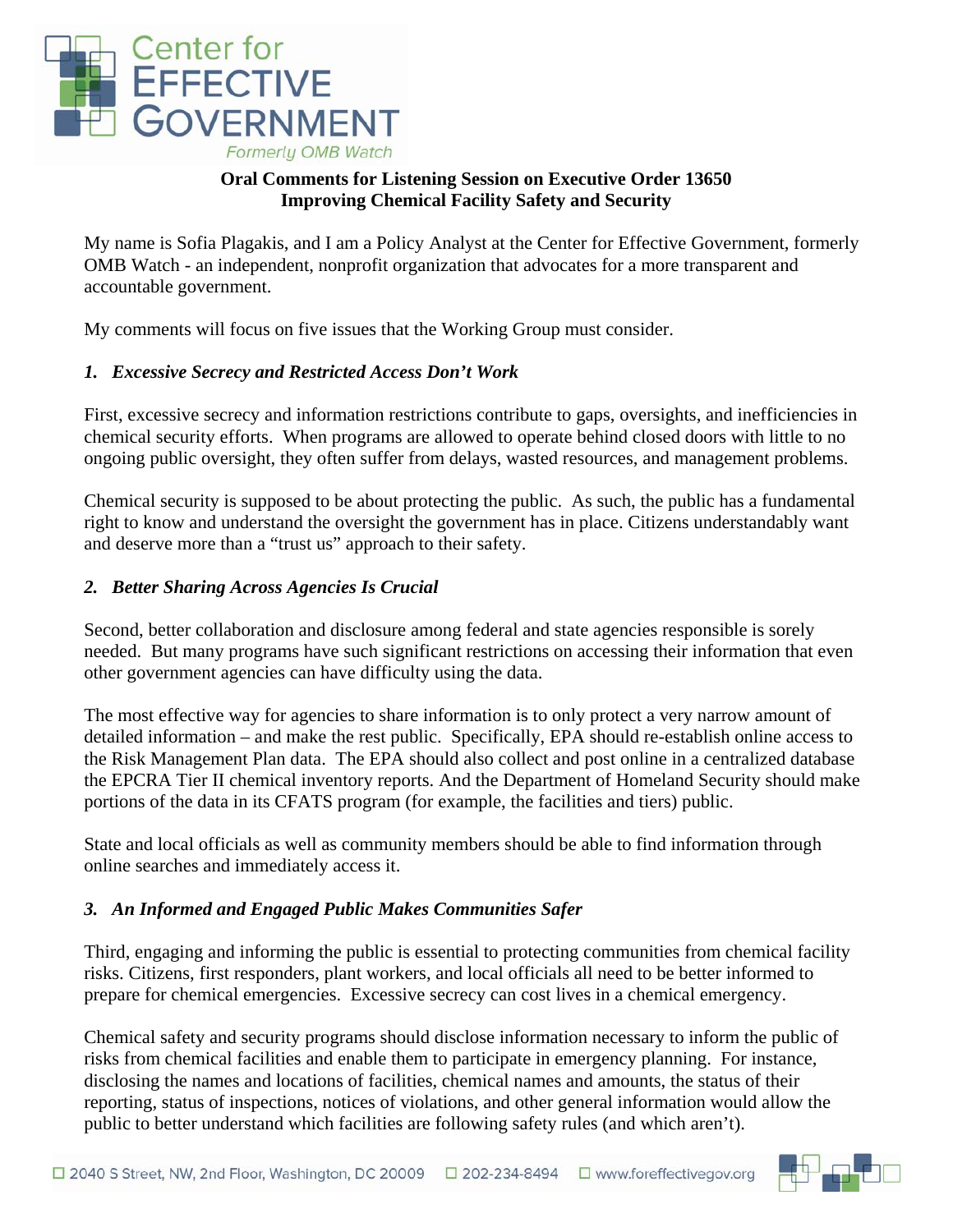

### **Oral Comments for Listening Session on Executive Order 13650 Improving Chemical Facility Safety and Security**

My name is Sofia Plagakis, and I am a Policy Analyst at the Center for Effective Government, formerly OMB Watch - an independent, nonprofit organization that advocates for a more transparent and accountable government.

My comments will focus on five issues that the Working Group must consider.

## *1. Excessive Secrecy and Restricted Access Don't Work*

First, excessive secrecy and information restrictions contribute to gaps, oversights, and inefficiencies in chemical security efforts. When programs are allowed to operate behind closed doors with little to no ongoing public oversight, they often suffer from delays, wasted resources, and management problems.

Chemical security is supposed to be about protecting the public. As such, the public has a fundamental right to know and understand the oversight the government has in place. Citizens understandably want and deserve more than a "trust us" approach to their safety.

## *2. Better Sharing Across Agencies Is Crucial*

Second, better collaboration and disclosure among federal and state agencies responsible is sorely needed. But many programs have such significant restrictions on accessing their information that even other government agencies can have difficulty using the data.

The most effective way for agencies to share information is to only protect a very narrow amount of detailed information – and make the rest public. Specifically, EPA should re-establish online access to the Risk Management Plan data. The EPA should also collect and post online in a centralized database the EPCRA Tier II chemical inventory reports. And the Department of Homeland Security should make portions of the data in its CFATS program (for example, the facilities and tiers) public.

State and local officials as well as community members should be able to find information through online searches and immediately access it.

# *3. An Informed and Engaged Public Makes Communities Safer*

Third, engaging and informing the public is essential to protecting communities from chemical facility risks. Citizens, first responders, plant workers, and local officials all need to be better informed to prepare for chemical emergencies. Excessive secrecy can cost lives in a chemical emergency.

Chemical safety and security programs should disclose information necessary to inform the public of risks from chemical facilities and enable them to participate in emergency planning. For instance, disclosing the names and locations of facilities, chemical names and amounts, the status of their reporting, status of inspections, notices of violations, and other general information would allow the public to better understand which facilities are following safety rules (and which aren't).